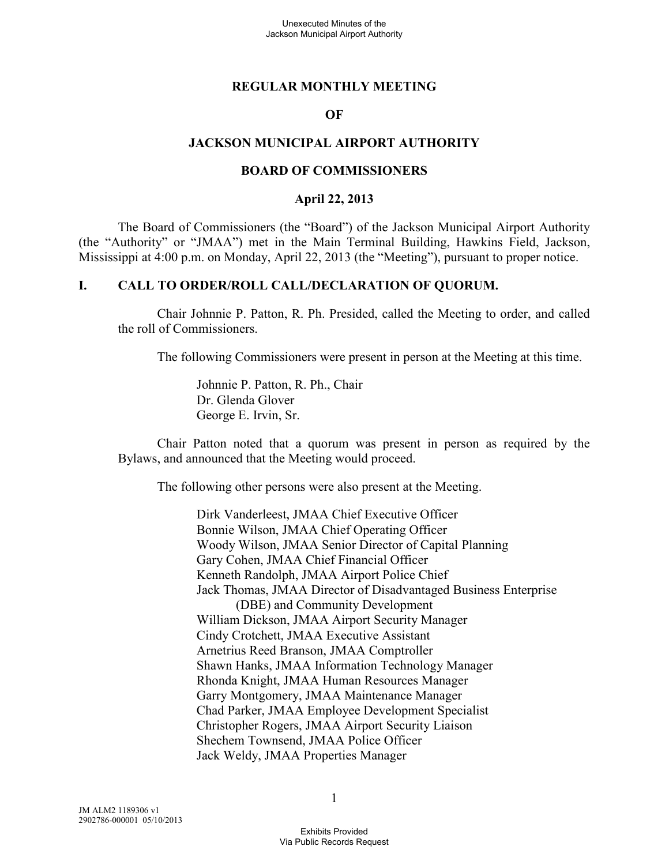#### **REGULAR MONTHLY MEETING**

#### **OF**

#### **JACKSON MUNICIPAL AIRPORT AUTHORITY**

#### **BOARD OF COMMISSIONERS**

#### **April 22, 2013**

The Board of Commissioners (the "Board") of the Jackson Municipal Airport Authority (the "Authority" or "JMAA") met in the Main Terminal Building, Hawkins Field, Jackson, Mississippi at 4:00 p.m. on Monday, April 22, 2013 (the "Meeting"), pursuant to proper notice.

#### **I. CALL TO ORDER/ROLL CALL/DECLARATION OF QUORUM.**

Chair Johnnie P. Patton, R. Ph. Presided, called the Meeting to order, and called the roll of Commissioners.

The following Commissioners were present in person at the Meeting at this time.

Johnnie P. Patton, R. Ph., Chair Dr. Glenda Glover George E. Irvin, Sr.

Chair Patton noted that a quorum was present in person as required by the Bylaws, and announced that the Meeting would proceed.

The following other persons were also present at the Meeting.

Dirk Vanderleest, JMAA Chief Executive Officer Bonnie Wilson, JMAA Chief Operating Officer Woody Wilson, JMAA Senior Director of Capital Planning Gary Cohen, JMAA Chief Financial Officer Kenneth Randolph, JMAA Airport Police Chief Jack Thomas, JMAA Director of Disadvantaged Business Enterprise (DBE) and Community Development William Dickson, JMAA Airport Security Manager Cindy Crotchett, JMAA Executive Assistant Arnetrius Reed Branson, JMAA Comptroller Shawn Hanks, JMAA Information Technology Manager Rhonda Knight, JMAA Human Resources Manager Garry Montgomery, JMAA Maintenance Manager Chad Parker, JMAA Employee Development Specialist Christopher Rogers, JMAA Airport Security Liaison Shechem Townsend, JMAA Police Officer Jack Weldy, JMAA Properties Manager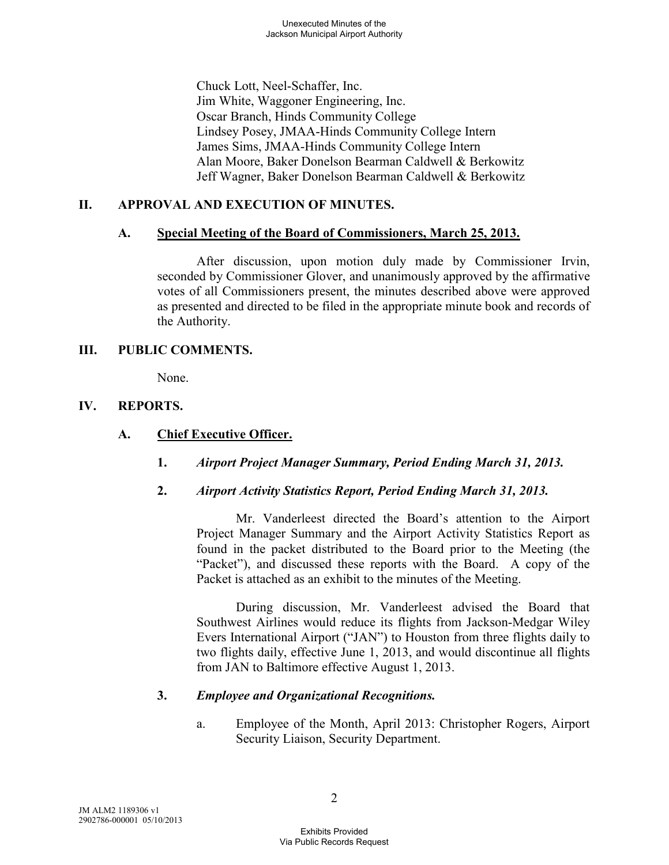Chuck Lott, Neel-Schaffer, Inc. Jim White, Waggoner Engineering, Inc. Oscar Branch, Hinds Community College Lindsey Posey, JMAA-Hinds Community College Intern James Sims, JMAA-Hinds Community College Intern Alan Moore, Baker Donelson Bearman Caldwell & Berkowitz Jeff Wagner, Baker Donelson Bearman Caldwell & Berkowitz

# **II. APPROVAL AND EXECUTION OF MINUTES.**

#### **A. Special Meeting of the Board of Commissioners, March 25, 2013.**

After discussion, upon motion duly made by Commissioner Irvin, seconded by Commissioner Glover, and unanimously approved by the affirmative votes of all Commissioners present, the minutes described above were approved as presented and directed to be filed in the appropriate minute book and records of the Authority.

#### **III. PUBLIC COMMENTS.**

None.

## **IV. REPORTS.**

## **A. Chief Executive Officer.**

- **1.** *Airport Project Manager Summary, Period Ending March 31, 2013.*
- **2.** *Airport Activity Statistics Report, Period Ending March 31, 2013.*

Mr. Vanderleest directed the Board's attention to the Airport Project Manager Summary and the Airport Activity Statistics Report as found in the packet distributed to the Board prior to the Meeting (the "Packet"), and discussed these reports with the Board. A copy of the Packet is attached as an exhibit to the minutes of the Meeting.

During discussion, Mr. Vanderleest advised the Board that Southwest Airlines would reduce its flights from Jackson-Medgar Wiley Evers International Airport ("JAN") to Houston from three flights daily to two flights daily, effective June 1, 2013, and would discontinue all flights from JAN to Baltimore effective August 1, 2013.

## **3.** *Employee and Organizational Recognitions.*

a. Employee of the Month, April 2013: Christopher Rogers, Airport Security Liaison, Security Department.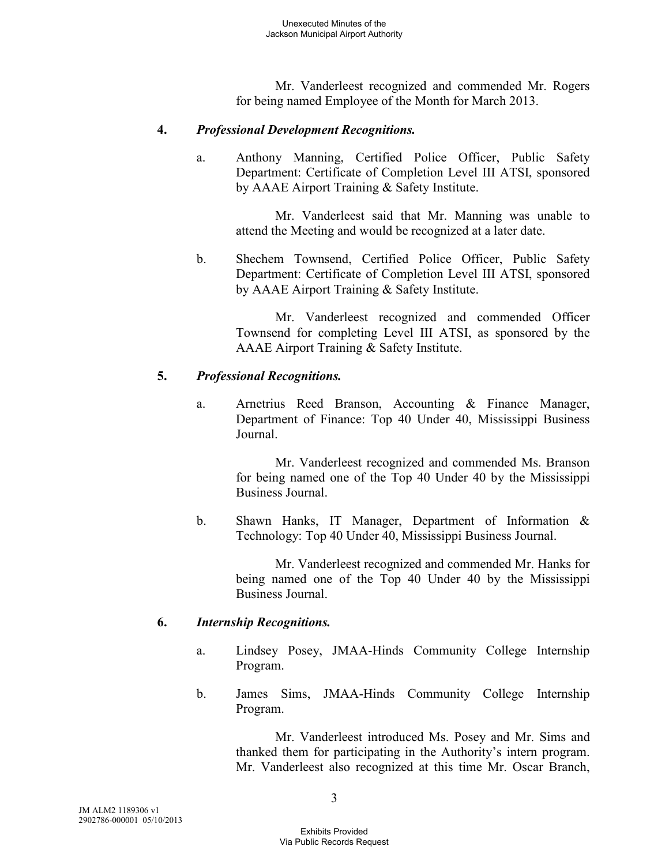Mr. Vanderleest recognized and commended Mr. Rogers for being named Employee of the Month for March 2013.

#### **4.** *Professional Development Recognitions.*

a. Anthony Manning, Certified Police Officer, Public Safety Department: Certificate of Completion Level III ATSI, sponsored by AAAE Airport Training & Safety Institute.

Mr. Vanderleest said that Mr. Manning was unable to attend the Meeting and would be recognized at a later date.

b. Shechem Townsend, Certified Police Officer, Public Safety Department: Certificate of Completion Level III ATSI, sponsored by AAAE Airport Training & Safety Institute.

> Mr. Vanderleest recognized and commended Officer Townsend for completing Level III ATSI, as sponsored by the AAAE Airport Training & Safety Institute.

#### **5.** *Professional Recognitions.*

a. Arnetrius Reed Branson, Accounting & Finance Manager, Department of Finance: Top 40 Under 40, Mississippi Business Journal.

> Mr. Vanderleest recognized and commended Ms. Branson for being named one of the Top 40 Under 40 by the Mississippi Business Journal.

b. Shawn Hanks, IT Manager, Department of Information & Technology: Top 40 Under 40, Mississippi Business Journal.

> Mr. Vanderleest recognized and commended Mr. Hanks for being named one of the Top 40 Under 40 by the Mississippi Business Journal.

#### **6.** *Internship Recognitions.*

- a. Lindsey Posey, JMAA-Hinds Community College Internship Program.
- b. James Sims, JMAA-Hinds Community College Internship Program.

Mr. Vanderleest introduced Ms. Posey and Mr. Sims and thanked them for participating in the Authority's intern program. Mr. Vanderleest also recognized at this time Mr. Oscar Branch,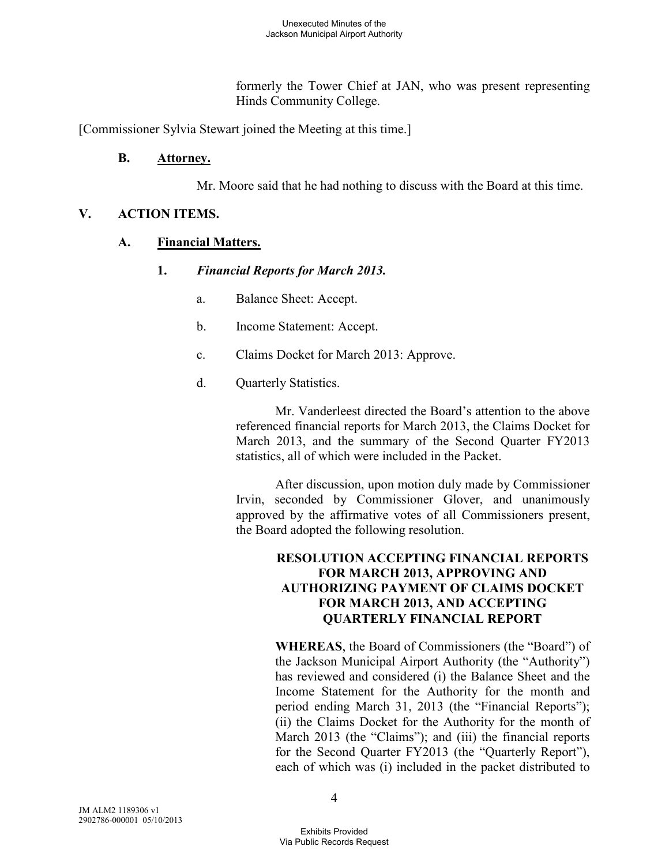formerly the Tower Chief at JAN, who was present representing Hinds Community College.

[Commissioner Sylvia Stewart joined the Meeting at this time.]

# **B. Attorney.**

Mr. Moore said that he had nothing to discuss with the Board at this time.

# **V. ACTION ITEMS.**

# **A. Financial Matters.**

## **1.** *Financial Reports for March 2013.*

- a. Balance Sheet: Accept.
- b. Income Statement: Accept.
- c. Claims Docket for March 2013: Approve.
- d. Quarterly Statistics.

Mr. Vanderleest directed the Board's attention to the above referenced financial reports for March 2013, the Claims Docket for March 2013, and the summary of the Second Quarter FY2013 statistics, all of which were included in the Packet.

After discussion, upon motion duly made by Commissioner Irvin, seconded by Commissioner Glover, and unanimously approved by the affirmative votes of all Commissioners present, the Board adopted the following resolution.

#### **RESOLUTION ACCEPTING FINANCIAL REPORTS FOR MARCH 2013, APPROVING AND AUTHORIZING PAYMENT OF CLAIMS DOCKET FOR MARCH 2013, AND ACCEPTING QUARTERLY FINANCIAL REPORT**

**WHEREAS**, the Board of Commissioners (the "Board") of the Jackson Municipal Airport Authority (the "Authority") has reviewed and considered (i) the Balance Sheet and the Income Statement for the Authority for the month and period ending March 31, 2013 (the "Financial Reports"); (ii) the Claims Docket for the Authority for the month of March 2013 (the "Claims"); and (iii) the financial reports for the Second Quarter FY2013 (the "Quarterly Report"), each of which was (i) included in the packet distributed to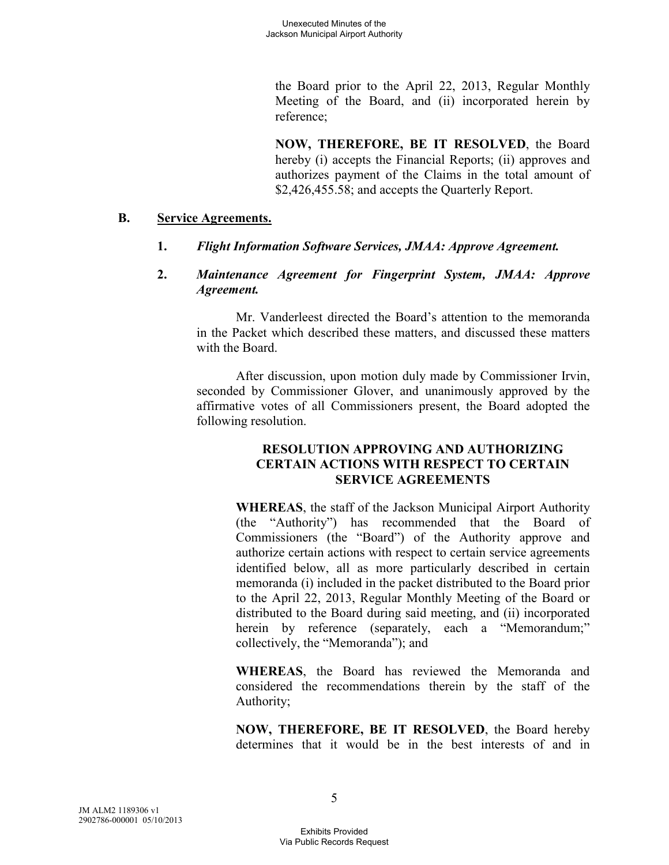the Board prior to the April 22, 2013, Regular Monthly Meeting of the Board, and (ii) incorporated herein by reference;

**NOW, THEREFORE, BE IT RESOLVED**, the Board hereby (i) accepts the Financial Reports; (ii) approves and authorizes payment of the Claims in the total amount of \$2,426,455.58; and accepts the Quarterly Report.

#### **B. Service Agreements.**

- **1.** *Flight Information Software Services, JMAA: Approve Agreement.*
- **2.** *Maintenance Agreement for Fingerprint System, JMAA: Approve Agreement.*

Mr. Vanderleest directed the Board's attention to the memoranda in the Packet which described these matters, and discussed these matters with the Board.

After discussion, upon motion duly made by Commissioner Irvin, seconded by Commissioner Glover, and unanimously approved by the affirmative votes of all Commissioners present, the Board adopted the following resolution.

#### **RESOLUTION APPROVING AND AUTHORIZING CERTAIN ACTIONS WITH RESPECT TO CERTAIN SERVICE AGREEMENTS**

**WHEREAS**, the staff of the Jackson Municipal Airport Authority (the "Authority") has recommended that the Board of Commissioners (the "Board") of the Authority approve and authorize certain actions with respect to certain service agreements identified below, all as more particularly described in certain memoranda (i) included in the packet distributed to the Board prior to the April 22, 2013, Regular Monthly Meeting of the Board or distributed to the Board during said meeting, and (ii) incorporated herein by reference (separately, each a "Memorandum;" collectively, the "Memoranda"); and

**WHEREAS**, the Board has reviewed the Memoranda and considered the recommendations therein by the staff of the Authority;

**NOW, THEREFORE, BE IT RESOLVED**, the Board hereby determines that it would be in the best interests of and in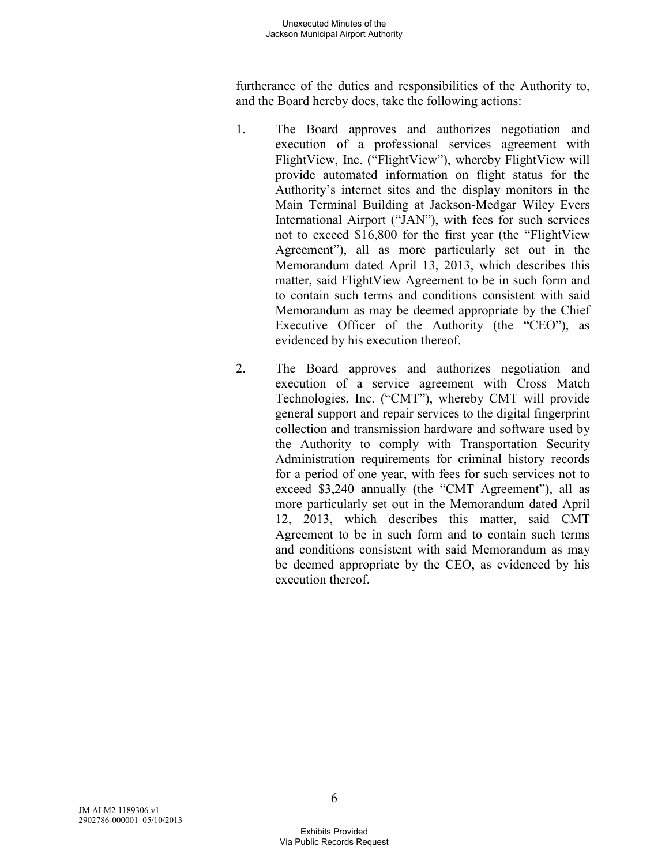furtherance of the duties and responsibilities of the Authority to, and the Board hereby does, take the following actions:

- 1. The Board approves and authorizes negotiation and execution of a professional services agreement with FlightView, Inc. ("FlightView"), whereby FlightView will provide automated information on flight status for the Authority's internet sites and the display monitors in the Main Terminal Building at Jackson-Medgar Wiley Evers International Airport ("JAN"), with fees for such services not to exceed \$16,800 for the first year (the "FlightView Agreement"), all as more particularly set out in the Memorandum dated April 13, 2013, which describes this matter, said FlightView Agreement to be in such form and to contain such terms and conditions consistent with said Memorandum as may be deemed appropriate by the Chief Executive Officer of the Authority (the "CEO"), as evidenced by his execution thereof.
- 2. The Board approves and authorizes negotiation and execution of a service agreement with Cross Match Technologies, Inc. ("CMT"), whereby CMT will provide general support and repair services to the digital fingerprint collection and transmission hardware and software used by the Authority to comply with Transportation Security Administration requirements for criminal history records for a period of one year, with fees for such services not to exceed \$3,240 annually (the "CMT Agreement"), all as more particularly set out in the Memorandum dated April 12, 2013, which describes this matter, said CMT Agreement to be in such form and to contain such terms and conditions consistent with said Memorandum as may be deemed appropriate by the CEO, as evidenced by his execution thereof.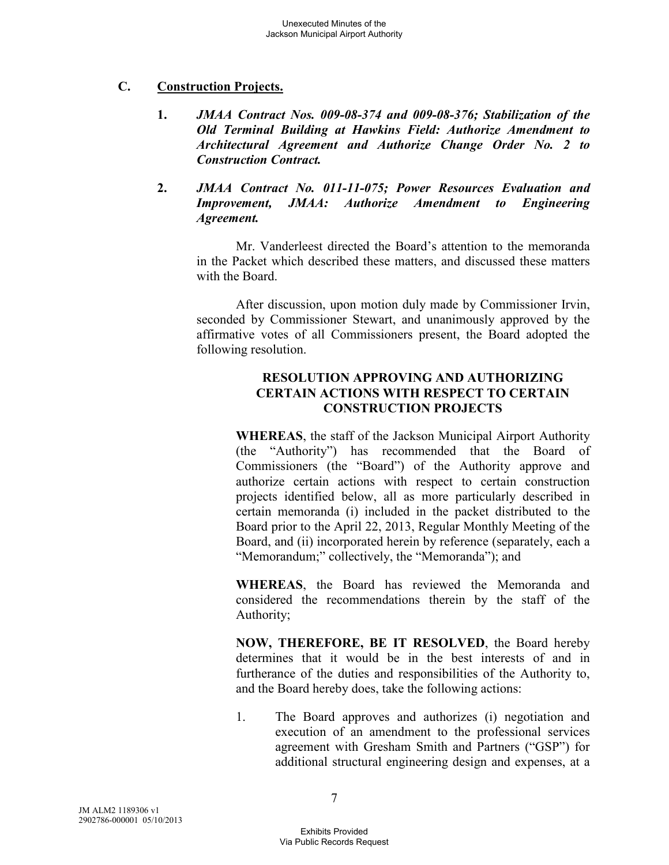# **C. Construction Projects.**

- **1.** *JMAA Contract Nos. 009-08-374 and 009-08-376; Stabilization of the Old Terminal Building at Hawkins Field: Authorize Amendment to Architectural Agreement and Authorize Change Order No. 2 to Construction Contract.*
- **2.** *JMAA Contract No. 011-11-075; Power Resources Evaluation and Improvement, JMAA: Authorize Amendment to Engineering Agreement.*

Mr. Vanderleest directed the Board's attention to the memoranda in the Packet which described these matters, and discussed these matters with the Board.

After discussion, upon motion duly made by Commissioner Irvin, seconded by Commissioner Stewart, and unanimously approved by the affirmative votes of all Commissioners present, the Board adopted the following resolution.

## **RESOLUTION APPROVING AND AUTHORIZING CERTAIN ACTIONS WITH RESPECT TO CERTAIN CONSTRUCTION PROJECTS**

**WHEREAS**, the staff of the Jackson Municipal Airport Authority (the "Authority") has recommended that the Board of Commissioners (the "Board") of the Authority approve and authorize certain actions with respect to certain construction projects identified below, all as more particularly described in certain memoranda (i) included in the packet distributed to the Board prior to the April 22, 2013, Regular Monthly Meeting of the Board, and (ii) incorporated herein by reference (separately, each a "Memorandum;" collectively, the "Memoranda"); and

**WHEREAS**, the Board has reviewed the Memoranda and considered the recommendations therein by the staff of the Authority;

**NOW, THEREFORE, BE IT RESOLVED**, the Board hereby determines that it would be in the best interests of and in furtherance of the duties and responsibilities of the Authority to, and the Board hereby does, take the following actions:

1. The Board approves and authorizes (i) negotiation and execution of an amendment to the professional services agreement with Gresham Smith and Partners ("GSP") for additional structural engineering design and expenses, at a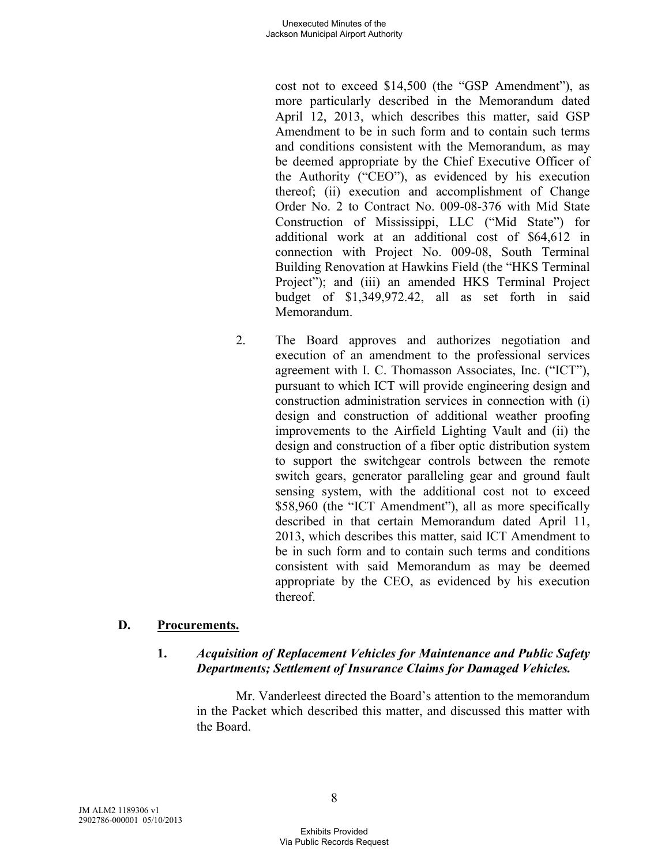cost not to exceed \$14,500 (the "GSP Amendment"), as more particularly described in the Memorandum dated April 12, 2013, which describes this matter, said GSP Amendment to be in such form and to contain such terms and conditions consistent with the Memorandum, as may be deemed appropriate by the Chief Executive Officer of the Authority ("CEO"), as evidenced by his execution thereof; (ii) execution and accomplishment of Change Order No. 2 to Contract No. 009-08-376 with Mid State Construction of Mississippi, LLC ("Mid State") for additional work at an additional cost of \$64,612 in connection with Project No. 009-08, South Terminal Building Renovation at Hawkins Field (the "HKS Terminal Project"); and (iii) an amended HKS Terminal Project budget of \$1,349,972.42, all as set forth in said Memorandum.

2. The Board approves and authorizes negotiation and execution of an amendment to the professional services agreement with I. C. Thomasson Associates, Inc. ("ICT"), pursuant to which ICT will provide engineering design and construction administration services in connection with (i) design and construction of additional weather proofing improvements to the Airfield Lighting Vault and (ii) the design and construction of a fiber optic distribution system to support the switchgear controls between the remote switch gears, generator paralleling gear and ground fault sensing system, with the additional cost not to exceed \$58,960 (the "ICT Amendment"), all as more specifically described in that certain Memorandum dated April 11, 2013, which describes this matter, said ICT Amendment to be in such form and to contain such terms and conditions consistent with said Memorandum as may be deemed appropriate by the CEO, as evidenced by his execution thereof.

# **D. Procurements.**

## **1.** *Acquisition of Replacement Vehicles for Maintenance and Public Safety Departments; Settlement of Insurance Claims for Damaged Vehicles.*

Mr. Vanderleest directed the Board's attention to the memorandum in the Packet which described this matter, and discussed this matter with the Board.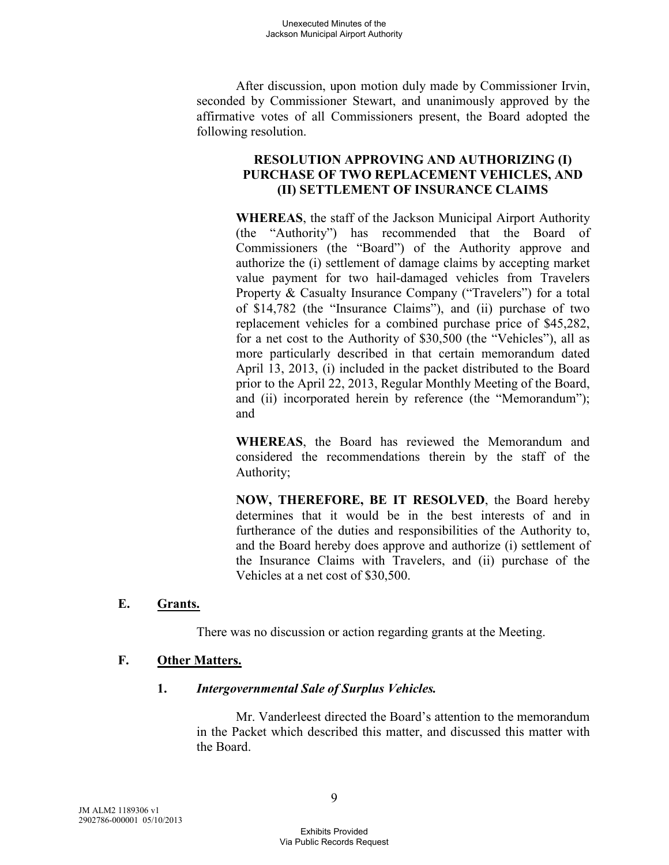After discussion, upon motion duly made by Commissioner Irvin, seconded by Commissioner Stewart, and unanimously approved by the affirmative votes of all Commissioners present, the Board adopted the following resolution.

### **RESOLUTION APPROVING AND AUTHORIZING (I) PURCHASE OF TWO REPLACEMENT VEHICLES, AND (II) SETTLEMENT OF INSURANCE CLAIMS**

**WHEREAS**, the staff of the Jackson Municipal Airport Authority (the "Authority") has recommended that the Board of Commissioners (the "Board") of the Authority approve and authorize the (i) settlement of damage claims by accepting market value payment for two hail-damaged vehicles from Travelers Property & Casualty Insurance Company ("Travelers") for a total of \$14,782 (the "Insurance Claims"), and (ii) purchase of two replacement vehicles for a combined purchase price of \$45,282, for a net cost to the Authority of \$30,500 (the "Vehicles"), all as more particularly described in that certain memorandum dated April 13, 2013, (i) included in the packet distributed to the Board prior to the April 22, 2013, Regular Monthly Meeting of the Board, and (ii) incorporated herein by reference (the "Memorandum"); and

**WHEREAS**, the Board has reviewed the Memorandum and considered the recommendations therein by the staff of the Authority;

**NOW, THEREFORE, BE IT RESOLVED**, the Board hereby determines that it would be in the best interests of and in furtherance of the duties and responsibilities of the Authority to, and the Board hereby does approve and authorize (i) settlement of the Insurance Claims with Travelers, and (ii) purchase of the Vehicles at a net cost of \$30,500.

## **E. Grants.**

There was no discussion or action regarding grants at the Meeting.

## **F. Other Matters.**

#### **1.** *Intergovernmental Sale of Surplus Vehicles.*

Mr. Vanderleest directed the Board's attention to the memorandum in the Packet which described this matter, and discussed this matter with the Board.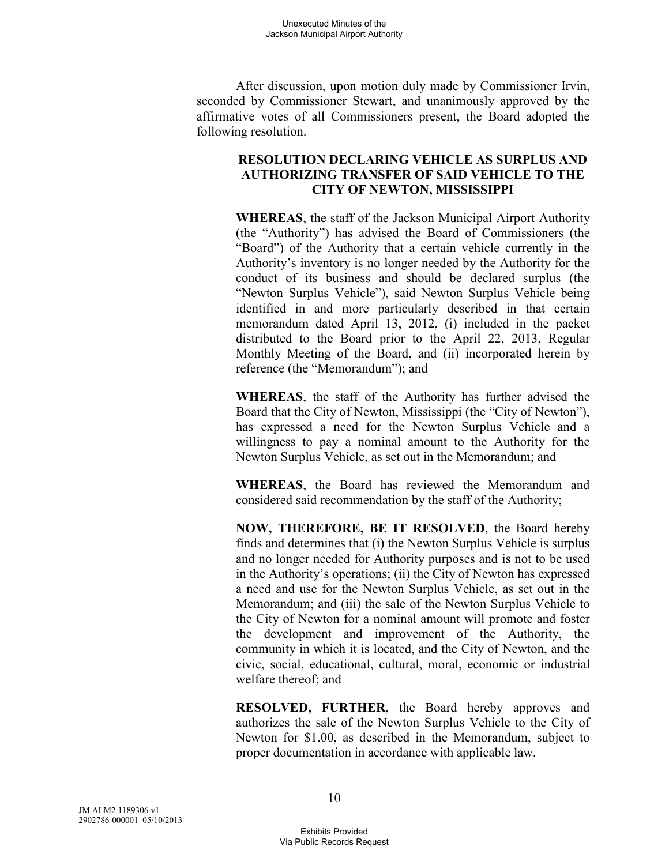After discussion, upon motion duly made by Commissioner Irvin, seconded by Commissioner Stewart, and unanimously approved by the affirmative votes of all Commissioners present, the Board adopted the following resolution.

#### **RESOLUTION DECLARING VEHICLE AS SURPLUS AND AUTHORIZING TRANSFER OF SAID VEHICLE TO THE CITY OF NEWTON, MISSISSIPPI**

**WHEREAS**, the staff of the Jackson Municipal Airport Authority (the "Authority") has advised the Board of Commissioners (the "Board") of the Authority that a certain vehicle currently in the Authority's inventory is no longer needed by the Authority for the conduct of its business and should be declared surplus (the "Newton Surplus Vehicle"), said Newton Surplus Vehicle being identified in and more particularly described in that certain memorandum dated April 13, 2012, (i) included in the packet distributed to the Board prior to the April 22, 2013, Regular Monthly Meeting of the Board, and (ii) incorporated herein by reference (the "Memorandum"); and

**WHEREAS**, the staff of the Authority has further advised the Board that the City of Newton, Mississippi (the "City of Newton"), has expressed a need for the Newton Surplus Vehicle and a willingness to pay a nominal amount to the Authority for the Newton Surplus Vehicle, as set out in the Memorandum; and

**WHEREAS**, the Board has reviewed the Memorandum and considered said recommendation by the staff of the Authority;

**NOW, THEREFORE, BE IT RESOLVED**, the Board hereby finds and determines that (i) the Newton Surplus Vehicle is surplus and no longer needed for Authority purposes and is not to be used in the Authority's operations; (ii) the City of Newton has expressed a need and use for the Newton Surplus Vehicle, as set out in the Memorandum; and (iii) the sale of the Newton Surplus Vehicle to the City of Newton for a nominal amount will promote and foster the development and improvement of the Authority, the community in which it is located, and the City of Newton, and the civic, social, educational, cultural, moral, economic or industrial welfare thereof; and

**RESOLVED, FURTHER**, the Board hereby approves and authorizes the sale of the Newton Surplus Vehicle to the City of Newton for \$1.00, as described in the Memorandum, subject to proper documentation in accordance with applicable law.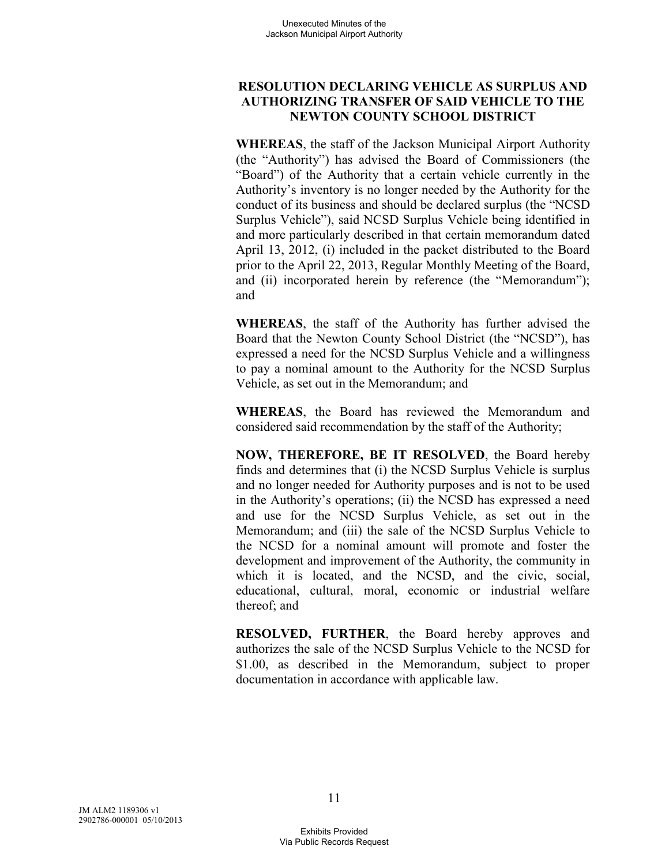## **RESOLUTION DECLARING VEHICLE AS SURPLUS AND AUTHORIZING TRANSFER OF SAID VEHICLE TO THE NEWTON COUNTY SCHOOL DISTRICT**

**WHEREAS**, the staff of the Jackson Municipal Airport Authority (the "Authority") has advised the Board of Commissioners (the "Board") of the Authority that a certain vehicle currently in the Authority's inventory is no longer needed by the Authority for the conduct of its business and should be declared surplus (the "NCSD Surplus Vehicle"), said NCSD Surplus Vehicle being identified in and more particularly described in that certain memorandum dated April 13, 2012, (i) included in the packet distributed to the Board prior to the April 22, 2013, Regular Monthly Meeting of the Board, and (ii) incorporated herein by reference (the "Memorandum"); and

**WHEREAS**, the staff of the Authority has further advised the Board that the Newton County School District (the "NCSD"), has expressed a need for the NCSD Surplus Vehicle and a willingness to pay a nominal amount to the Authority for the NCSD Surplus Vehicle, as set out in the Memorandum; and

**WHEREAS**, the Board has reviewed the Memorandum and considered said recommendation by the staff of the Authority;

**NOW, THEREFORE, BE IT RESOLVED**, the Board hereby finds and determines that (i) the NCSD Surplus Vehicle is surplus and no longer needed for Authority purposes and is not to be used in the Authority's operations; (ii) the NCSD has expressed a need and use for the NCSD Surplus Vehicle, as set out in the Memorandum; and (iii) the sale of the NCSD Surplus Vehicle to the NCSD for a nominal amount will promote and foster the development and improvement of the Authority, the community in which it is located, and the NCSD, and the civic, social, educational, cultural, moral, economic or industrial welfare thereof; and

**RESOLVED, FURTHER**, the Board hereby approves and authorizes the sale of the NCSD Surplus Vehicle to the NCSD for \$1.00, as described in the Memorandum, subject to proper documentation in accordance with applicable law.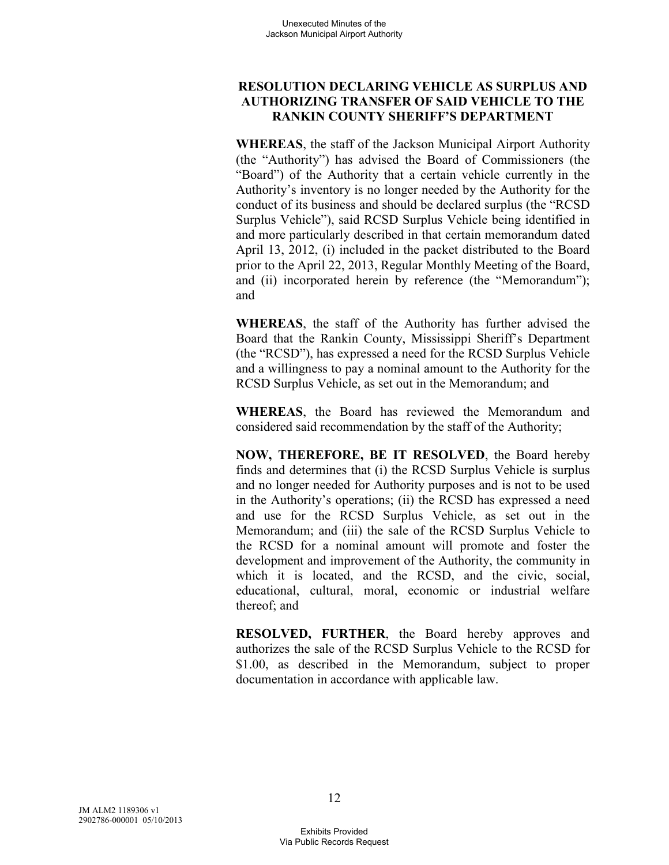## **RESOLUTION DECLARING VEHICLE AS SURPLUS AND AUTHORIZING TRANSFER OF SAID VEHICLE TO THE RANKIN COUNTY SHERIFF'S DEPARTMENT**

**WHEREAS**, the staff of the Jackson Municipal Airport Authority (the "Authority") has advised the Board of Commissioners (the "Board") of the Authority that a certain vehicle currently in the Authority's inventory is no longer needed by the Authority for the conduct of its business and should be declared surplus (the "RCSD Surplus Vehicle"), said RCSD Surplus Vehicle being identified in and more particularly described in that certain memorandum dated April 13, 2012, (i) included in the packet distributed to the Board prior to the April 22, 2013, Regular Monthly Meeting of the Board, and (ii) incorporated herein by reference (the "Memorandum"); and

**WHEREAS**, the staff of the Authority has further advised the Board that the Rankin County, Mississippi Sheriff's Department (the "RCSD"), has expressed a need for the RCSD Surplus Vehicle and a willingness to pay a nominal amount to the Authority for the RCSD Surplus Vehicle, as set out in the Memorandum; and

**WHEREAS**, the Board has reviewed the Memorandum and considered said recommendation by the staff of the Authority;

**NOW, THEREFORE, BE IT RESOLVED**, the Board hereby finds and determines that (i) the RCSD Surplus Vehicle is surplus and no longer needed for Authority purposes and is not to be used in the Authority's operations; (ii) the RCSD has expressed a need and use for the RCSD Surplus Vehicle, as set out in the Memorandum; and (iii) the sale of the RCSD Surplus Vehicle to the RCSD for a nominal amount will promote and foster the development and improvement of the Authority, the community in which it is located, and the RCSD, and the civic, social, educational, cultural, moral, economic or industrial welfare thereof; and

**RESOLVED, FURTHER**, the Board hereby approves and authorizes the sale of the RCSD Surplus Vehicle to the RCSD for \$1.00, as described in the Memorandum, subject to proper documentation in accordance with applicable law.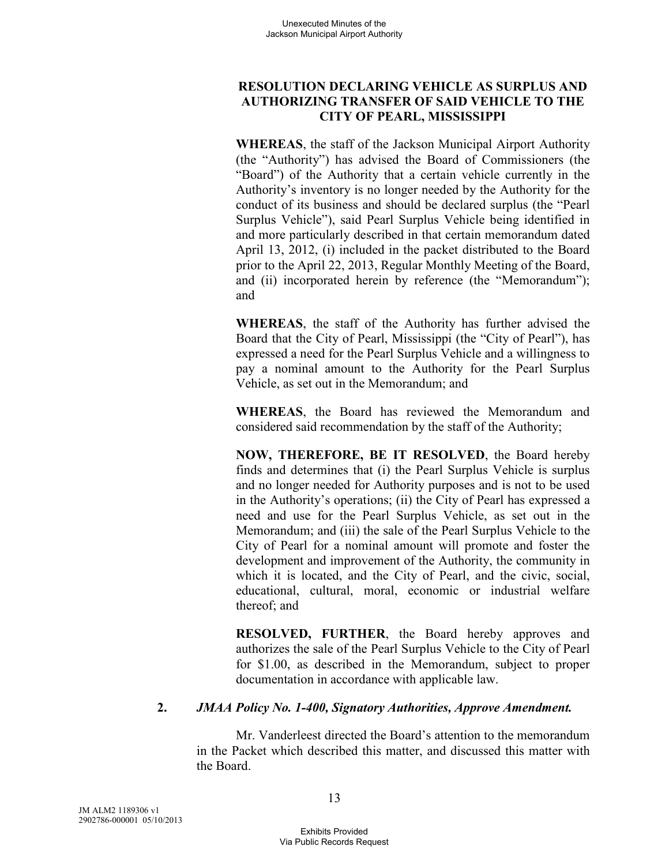## **RESOLUTION DECLARING VEHICLE AS SURPLUS AND AUTHORIZING TRANSFER OF SAID VEHICLE TO THE CITY OF PEARL, MISSISSIPPI**

**WHEREAS**, the staff of the Jackson Municipal Airport Authority (the "Authority") has advised the Board of Commissioners (the "Board") of the Authority that a certain vehicle currently in the Authority's inventory is no longer needed by the Authority for the conduct of its business and should be declared surplus (the "Pearl Surplus Vehicle"), said Pearl Surplus Vehicle being identified in and more particularly described in that certain memorandum dated April 13, 2012, (i) included in the packet distributed to the Board prior to the April 22, 2013, Regular Monthly Meeting of the Board, and (ii) incorporated herein by reference (the "Memorandum"); and

**WHEREAS**, the staff of the Authority has further advised the Board that the City of Pearl, Mississippi (the "City of Pearl"), has expressed a need for the Pearl Surplus Vehicle and a willingness to pay a nominal amount to the Authority for the Pearl Surplus Vehicle, as set out in the Memorandum; and

**WHEREAS**, the Board has reviewed the Memorandum and considered said recommendation by the staff of the Authority;

**NOW, THEREFORE, BE IT RESOLVED**, the Board hereby finds and determines that (i) the Pearl Surplus Vehicle is surplus and no longer needed for Authority purposes and is not to be used in the Authority's operations; (ii) the City of Pearl has expressed a need and use for the Pearl Surplus Vehicle, as set out in the Memorandum; and (iii) the sale of the Pearl Surplus Vehicle to the City of Pearl for a nominal amount will promote and foster the development and improvement of the Authority, the community in which it is located, and the City of Pearl, and the civic, social, educational, cultural, moral, economic or industrial welfare thereof; and

**RESOLVED, FURTHER**, the Board hereby approves and authorizes the sale of the Pearl Surplus Vehicle to the City of Pearl for \$1.00, as described in the Memorandum, subject to proper documentation in accordance with applicable law.

## **2.** *JMAA Policy No. 1-400, Signatory Authorities, Approve Amendment.*

Mr. Vanderleest directed the Board's attention to the memorandum in the Packet which described this matter, and discussed this matter with the Board.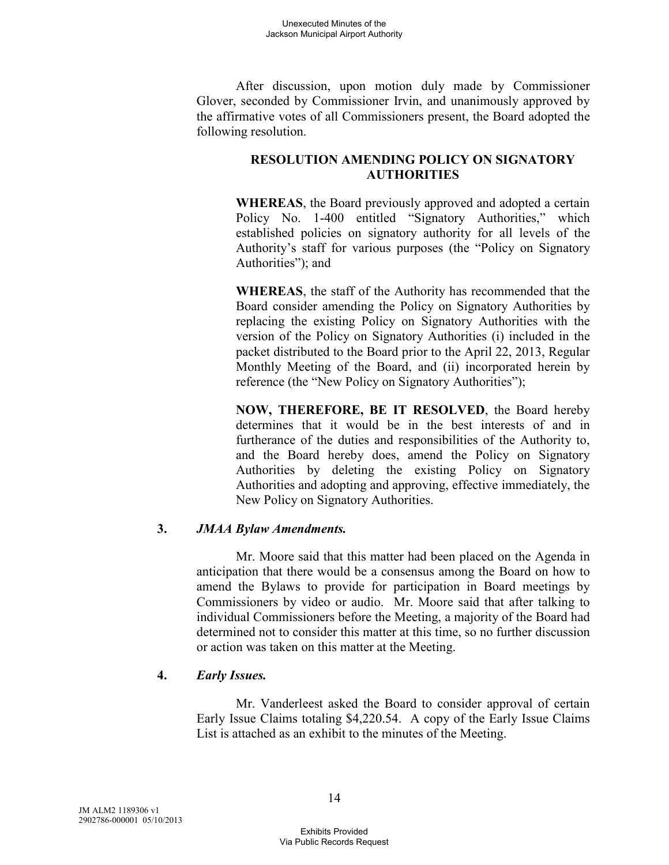After discussion, upon motion duly made by Commissioner Glover, seconded by Commissioner Irvin, and unanimously approved by the affirmative votes of all Commissioners present, the Board adopted the following resolution.

# **RESOLUTION AMENDING POLICY ON SIGNATORY AUTHORITIES**

**WHEREAS**, the Board previously approved and adopted a certain Policy No. 1-400 entitled "Signatory Authorities," which established policies on signatory authority for all levels of the Authority's staff for various purposes (the "Policy on Signatory Authorities"); and

**WHEREAS**, the staff of the Authority has recommended that the Board consider amending the Policy on Signatory Authorities by replacing the existing Policy on Signatory Authorities with the version of the Policy on Signatory Authorities (i) included in the packet distributed to the Board prior to the April 22, 2013, Regular Monthly Meeting of the Board, and (ii) incorporated herein by reference (the "New Policy on Signatory Authorities");

**NOW, THEREFORE, BE IT RESOLVED**, the Board hereby determines that it would be in the best interests of and in furtherance of the duties and responsibilities of the Authority to, and the Board hereby does, amend the Policy on Signatory Authorities by deleting the existing Policy on Signatory Authorities and adopting and approving, effective immediately, the New Policy on Signatory Authorities.

# **3.** *JMAA Bylaw Amendments.*

Mr. Moore said that this matter had been placed on the Agenda in anticipation that there would be a consensus among the Board on how to amend the Bylaws to provide for participation in Board meetings by Commissioners by video or audio. Mr. Moore said that after talking to individual Commissioners before the Meeting, a majority of the Board had determined not to consider this matter at this time, so no further discussion or action was taken on this matter at the Meeting.

#### **4.** *Early Issues.*

Mr. Vanderleest asked the Board to consider approval of certain Early Issue Claims totaling \$4,220.54. A copy of the Early Issue Claims List is attached as an exhibit to the minutes of the Meeting.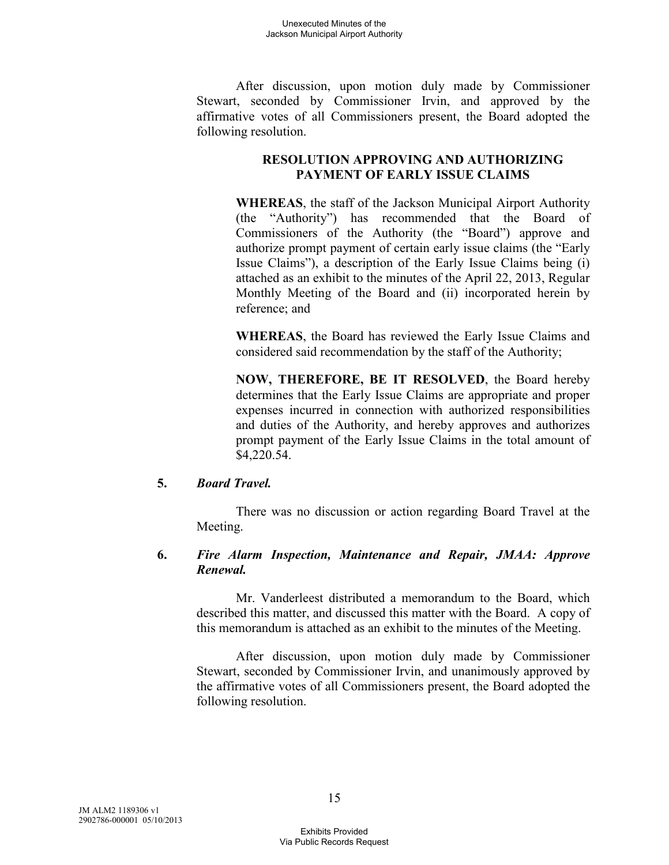After discussion, upon motion duly made by Commissioner Stewart, seconded by Commissioner Irvin, and approved by the affirmative votes of all Commissioners present, the Board adopted the following resolution.

# **RESOLUTION APPROVING AND AUTHORIZING PAYMENT OF EARLY ISSUE CLAIMS**

**WHEREAS**, the staff of the Jackson Municipal Airport Authority (the "Authority") has recommended that the Board of Commissioners of the Authority (the "Board") approve and authorize prompt payment of certain early issue claims (the "Early Issue Claims"), a description of the Early Issue Claims being (i) attached as an exhibit to the minutes of the April 22, 2013, Regular Monthly Meeting of the Board and (ii) incorporated herein by reference; and

**WHEREAS**, the Board has reviewed the Early Issue Claims and considered said recommendation by the staff of the Authority;

**NOW, THEREFORE, BE IT RESOLVED**, the Board hereby determines that the Early Issue Claims are appropriate and proper expenses incurred in connection with authorized responsibilities and duties of the Authority, and hereby approves and authorizes prompt payment of the Early Issue Claims in the total amount of \$4,220.54.

## **5.** *Board Travel.*

There was no discussion or action regarding Board Travel at the Meeting.

#### **6.** *Fire Alarm Inspection, Maintenance and Repair, JMAA: Approve Renewal.*

Mr. Vanderleest distributed a memorandum to the Board, which described this matter, and discussed this matter with the Board. A copy of this memorandum is attached as an exhibit to the minutes of the Meeting.

After discussion, upon motion duly made by Commissioner Stewart, seconded by Commissioner Irvin, and unanimously approved by the affirmative votes of all Commissioners present, the Board adopted the following resolution.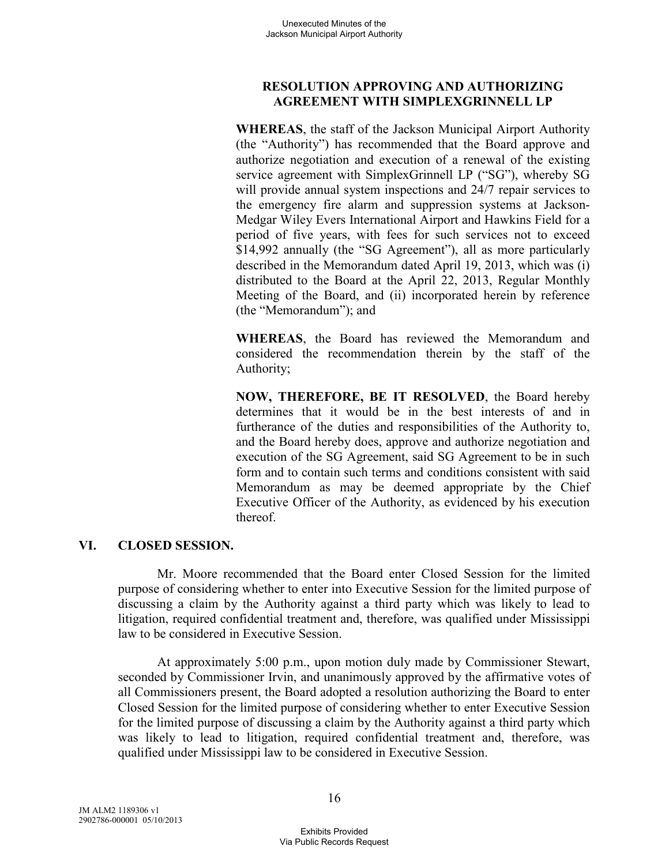### **RESOLUTION APPROVING AND AUTHORIZING AGREEMENT WITH SIMPLEXGRINNELL LP**

**WHEREAS**, the staff of the Jackson Municipal Airport Authority (the "Authority") has recommended that the Board approve and authorize negotiation and execution of a renewal of the existing service agreement with SimplexGrinnell LP ("SG"), whereby SG will provide annual system inspections and 24/7 repair services to the emergency fire alarm and suppression systems at Jackson-Medgar Wiley Evers International Airport and Hawkins Field for a period of five years, with fees for such services not to exceed \$14,992 annually (the "SG Agreement"), all as more particularly described in the Memorandum dated April 19, 2013, which was (i) distributed to the Board at the April 22, 2013, Regular Monthly Meeting of the Board, and (ii) incorporated herein by reference (the "Memorandum"); and

**WHEREAS**, the Board has reviewed the Memorandum and considered the recommendation therein by the staff of the Authority;

**NOW, THEREFORE, BE IT RESOLVED**, the Board hereby determines that it would be in the best interests of and in furtherance of the duties and responsibilities of the Authority to, and the Board hereby does, approve and authorize negotiation and execution of the SG Agreement, said SG Agreement to be in such form and to contain such terms and conditions consistent with said Memorandum as may be deemed appropriate by the Chief Executive Officer of the Authority, as evidenced by his execution thereof.

## **VI. CLOSED SESSION.**

Mr. Moore recommended that the Board enter Closed Session for the limited purpose of considering whether to enter into Executive Session for the limited purpose of discussing a claim by the Authority against a third party which was likely to lead to litigation, required confidential treatment and, therefore, was qualified under Mississippi law to be considered in Executive Session.

At approximately 5:00 p.m., upon motion duly made by Commissioner Stewart, seconded by Commissioner Irvin, and unanimously approved by the affirmative votes of all Commissioners present, the Board adopted a resolution authorizing the Board to enter Closed Session for the limited purpose of considering whether to enter Executive Session for the limited purpose of discussing a claim by the Authority against a third party which was likely to lead to litigation, required confidential treatment and, therefore, was qualified under Mississippi law to be considered in Executive Session.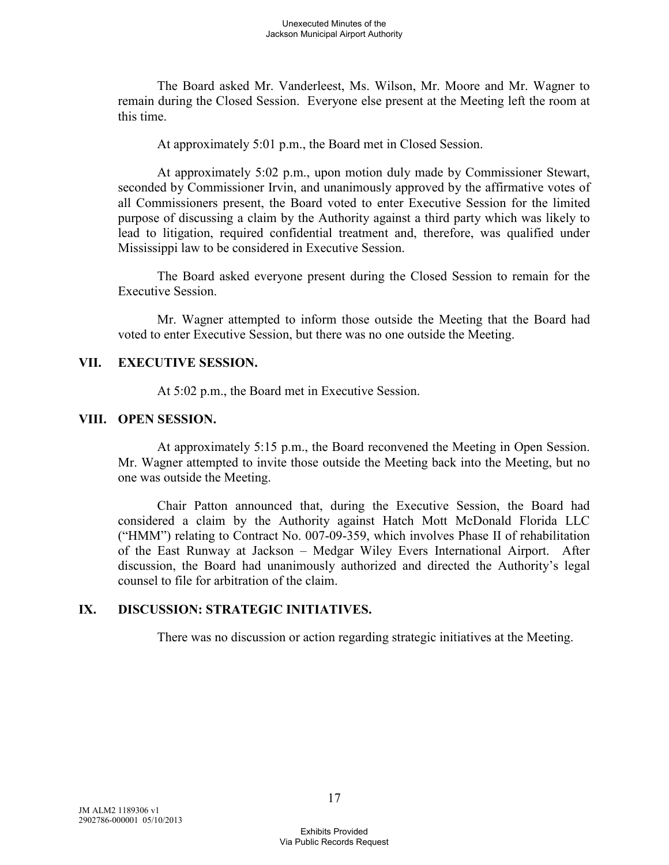The Board asked Mr. Vanderleest, Ms. Wilson, Mr. Moore and Mr. Wagner to remain during the Closed Session. Everyone else present at the Meeting left the room at this time.

At approximately 5:01 p.m., the Board met in Closed Session.

At approximately 5:02 p.m., upon motion duly made by Commissioner Stewart, seconded by Commissioner Irvin, and unanimously approved by the affirmative votes of all Commissioners present, the Board voted to enter Executive Session for the limited purpose of discussing a claim by the Authority against a third party which was likely to lead to litigation, required confidential treatment and, therefore, was qualified under Mississippi law to be considered in Executive Session.

The Board asked everyone present during the Closed Session to remain for the Executive Session.

Mr. Wagner attempted to inform those outside the Meeting that the Board had voted to enter Executive Session, but there was no one outside the Meeting.

#### **VII. EXECUTIVE SESSION.**

At 5:02 p.m., the Board met in Executive Session.

#### **VIII. OPEN SESSION.**

At approximately 5:15 p.m., the Board reconvened the Meeting in Open Session. Mr. Wagner attempted to invite those outside the Meeting back into the Meeting, but no one was outside the Meeting.

Chair Patton announced that, during the Executive Session, the Board had considered a claim by the Authority against Hatch Mott McDonald Florida LLC ("HMM") relating to Contract No. 007-09-359, which involves Phase II of rehabilitation of the East Runway at Jackson – Medgar Wiley Evers International Airport. After discussion, the Board had unanimously authorized and directed the Authority's legal counsel to file for arbitration of the claim.

## **IX. DISCUSSION: STRATEGIC INITIATIVES.**

There was no discussion or action regarding strategic initiatives at the Meeting.